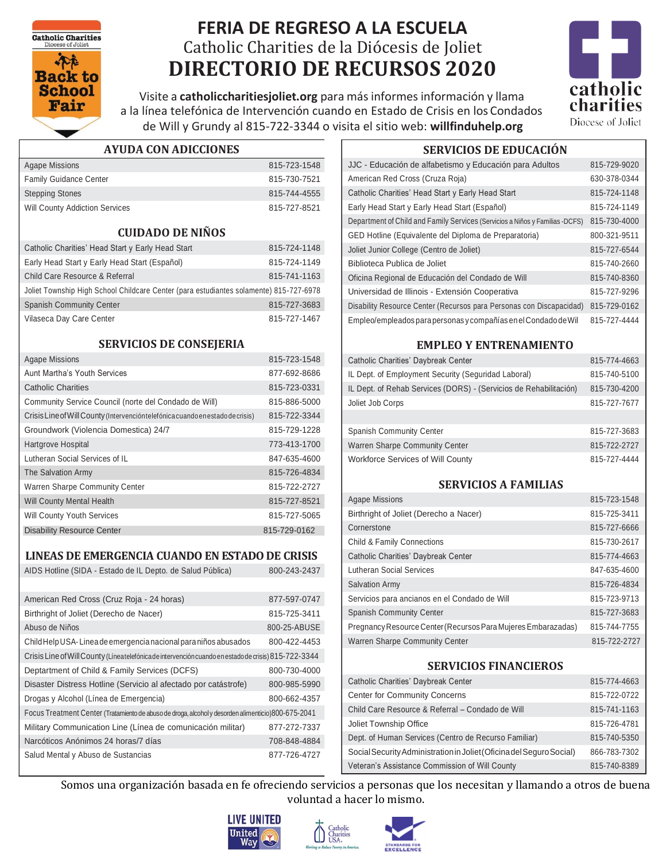**Catholic Charities** 



# **FERIA DE REGRESO A LA ESCUELA** Catholic Charities de la Diócesis de Joliet **DIRECTORIO DE RECURSOS 2020**



815-727-4444

Visite a **catholiccharitiesjoliet.org** para másinformes información y llama a la línea telefónica de Intervención cuando en Estado de Crisis en los Condados de Will y Grundy al 815-722-3344 o visita el sitio web: **willfinduhelp.org**

| <b>AYUDA CON ADICCIONES</b> |  |
|-----------------------------|--|
|-----------------------------|--|

| Agape Missions                        | 815-723-1548 |
|---------------------------------------|--------------|
| <b>Family Guidance Center</b>         | 815-730-7521 |
| <b>Stepping Stones</b>                | 815-744-4555 |
| <b>Will County Addiction Services</b> | 815-727-8521 |

#### **CUIDADO DE NIÑOS**

| Catholic Charities' Head Start y Early Head Start                                      | 815-724-1148 |
|----------------------------------------------------------------------------------------|--------------|
| Early Head Start y Early Head Start (Español)                                          | 815-724-1149 |
| Child Care Resource & Referral                                                         | 815-741-1163 |
| Joliet Township High School Childcare Center (para estudiantes solamente) 815-727-6978 |              |
| <b>Spanish Community Center</b>                                                        | 815-727-3683 |
| Vilaseca Day Care Center                                                               | 815-727-1467 |
|                                                                                        |              |

#### **SERVICIOS DE CONSEJERIA**

| <b>Agape Missions</b>                                                           | 815-723-1548 |
|---------------------------------------------------------------------------------|--------------|
| Aunt Martha's Youth Services                                                    | 877-692-8686 |
| <b>Catholic Charities</b>                                                       | 815-723-0331 |
| Community Service Council (norte del Condado de Will)                           | 815-886-5000 |
| Crisis Line of Will County (Intervención telefónica cuando en estado de crisis) | 815-722-3344 |
| Groundwork (Violencia Domestica) 24/7                                           | 815-729-1228 |
| Hartgrove Hospital                                                              | 773-413-1700 |
| Lutheran Social Services of IL                                                  | 847-635-4600 |
| The Salvation Army                                                              | 815-726-4834 |
| Warren Sharpe Community Center                                                  | 815-722-2727 |
| <b>Will County Mental Health</b>                                                | 815-727-8521 |
| <b>Will County Youth Services</b>                                               | 815-727-5065 |
| <b>Disability Resource Center</b>                                               | 815-729-0162 |

| LINEAS DE EMERGENCIA CUANDO EN ESTADO DE CRISIS                                                     |              |
|-----------------------------------------------------------------------------------------------------|--------------|
| AIDS Hotline (SIDA - Estado de IL Depto. de Salud Pública)                                          | 800-243-2437 |
|                                                                                                     |              |
| American Red Cross (Cruz Roja - 24 horas)                                                           | 877-597-0747 |
| Birthright of Joliet (Derecho de Nacer)                                                             | 815-725-3411 |
| Abuso de Niños                                                                                      | 800-25-ABUSE |
| Child Help USA-Linea de emergencia nacional para niños abusados                                     | 800-422-4453 |
| Crisis Line of Will County (Lineatelefónicade intervención cuando en estado de crisis) 815-722-3344 |              |
| Deptartment of Child & Family Services (DCFS)                                                       | 800-730-4000 |
| Disaster Distress Hotline (Servicio al afectado por catástrofe)                                     | 800-985-5990 |
| Drogas y Alcohol (Línea de Emergencia)                                                              | 800-662-4357 |
| Focus Treatment Center (Tratamiento de abuso de droga, alcohol y desorden alimenticio) 800-675-2041 |              |
| Military Communication Line (Línea de comunicación militar)                                         | 877-272-7337 |
| Narcóticos Anónimos 24 horas/7 días                                                                 | 708-848-4884 |
| Salud Mental y Abuso de Sustancias                                                                  | 877-726-4727 |

JJC - Educación de alfabetismo y Educación para Adultos 815-729-9020 American Red Cross (Cruza Roja) 630-378-0344 Catholic Charities' Head Start y Early Head Start 815-724-1148 Early Head Start y Early Head Start (Español) 815-724-1149 Department of Child and Family Services (Servicios a Niños y Familias -DCFS) 815-730-4000 GED Hotline (Equivalente del Diploma de Preparatoria) 800-321-9511 Joliet Junior College (Centro de Joliet) 815-727-6544 Biblioteca Publica de Joliet 815-740-2660 Oficina Regional de Educación del Condado de Will 815-740-8360 Universidad de Illinois - Extensión Cooperativa<br>
815-727-9296 Disability Resource Center (Recursos para Personas con Discapacidad) 815-729-0162

**SERVICIOS DE EDUCACIÓN**

#### **EMPLEO Y ENTRENAMIENTO**

Empleo/empleados para personas ycompañías enelCondado deWil

| <b>Catholic Charities' Daybreak Center</b>                        | 815-774-4663 |
|-------------------------------------------------------------------|--------------|
| IL Dept. of Employment Security (Seguridad Laboral)               | 815-740-5100 |
| IL Dept. of Rehab Services (DORS) - (Servicios de Rehabilitación) | 815-730-4200 |
| Joliet Job Corps                                                  | 815-727-7677 |
|                                                                   |              |
| <b>Spanish Community Center</b>                                   | 815-727-3683 |
| Warren Sharpe Community Center                                    | 815-722-2727 |
| Workforce Services of Will County                                 | 815-727-4444 |

#### **SERVICIOS A FAMILIAS**

| Agape Missions                                                | 815-723-1548 |
|---------------------------------------------------------------|--------------|
| Birthright of Joliet (Derecho a Nacer)                        | 815-725-3411 |
| Cornerstone                                                   | 815-727-6666 |
| <b>Child &amp; Family Connections</b>                         | 815-730-2617 |
| <b>Catholic Charities' Daybreak Center</b>                    | 815-774-4663 |
| Lutheran Social Services                                      | 847-635-4600 |
| <b>Salvation Army</b>                                         | 815-726-4834 |
| Servicios para ancianos en el Condado de Will                 | 815-723-9713 |
| <b>Spanish Community Center</b>                               | 815-727-3683 |
| Pregnancy Resource Center (Recursos Para Mujeres Embarazadas) | 815-744-7755 |
| <b>Warren Sharpe Community Center</b>                         | 815-722-2727 |

### **SERVICIOS FINANCIEROS**

| <b>Catholic Charities' Daybreak Center</b>                          | 815-774-4663 |
|---------------------------------------------------------------------|--------------|
| <b>Center for Community Concerns</b>                                | 815-722-0722 |
| Child Care Resource & Referral - Condado de Will                    | 815-741-1163 |
| Joliet Township Office                                              | 815-726-4781 |
| Dept. of Human Services (Centro de Recurso Familiar)                | 815-740-5350 |
| Social Security Administration in Joliet (Oficinadel Seguro Social) | 866-783-7302 |
| Veteran's Assistance Commission of Will County                      | 815-740-8389 |

Somos una organización basada en fe ofreciendo servicios a personas que los necesitan y llamando a otros de buena voluntad a hacer lo mismo.